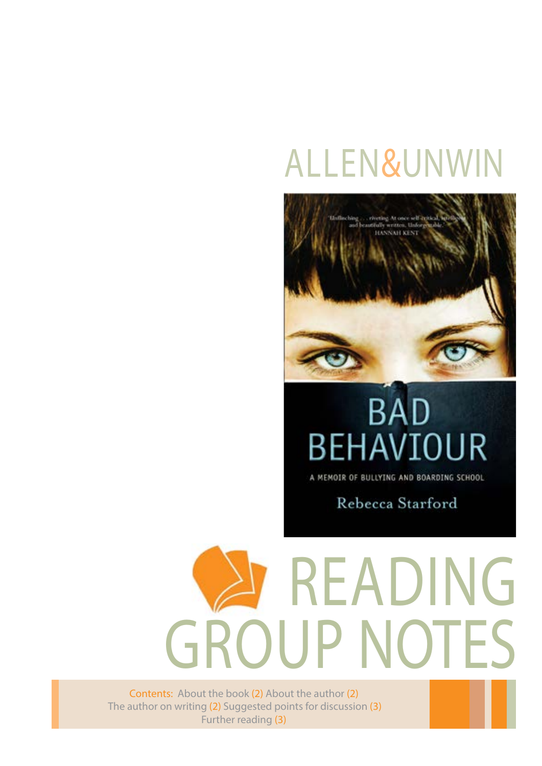## Allen&Unwin



## **BAD** BEHAVIOUR

A MEMOIR OF BULLYING AND BOARDING SCHOOL

Rebecca Starford

# READING GROUP NOTES

Contents: About the book (2) About the author (2) The author on writing (2) Suggested points for discussion (3) Further reading (3)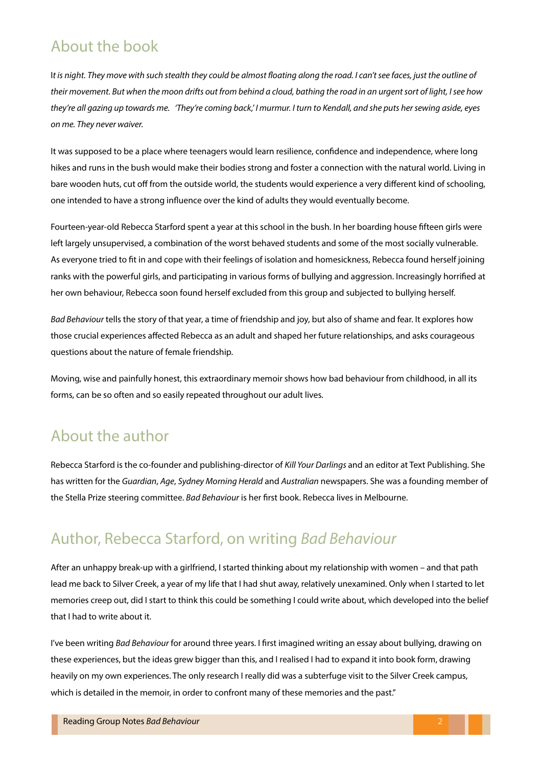#### About the book

I*t is night. They move with such stealth they could be almost floating along the road. I can't see faces, just the outline of their movement. But when the moon drifts out from behind a cloud, bathing the road in an urgent sort of light, I see how they're all gazing up towards me. 'They're coming back,' I murmur. I turn to Kendall, and she puts her sewing aside, eyes on me. They never waiver.*

It was supposed to be a place where teenagers would learn resilience, confidence and independence, where long hikes and runs in the bush would make their bodies strong and foster a connection with the natural world. Living in bare wooden huts, cut off from the outside world, the students would experience a very different kind of schooling, one intended to have a strong influence over the kind of adults they would eventually become.

Fourteen-year-old Rebecca Starford spent a year at this school in the bush. In her boarding house fifteen girls were left largely unsupervised, a combination of the worst behaved students and some of the most socially vulnerable. As everyone tried to fit in and cope with their feelings of isolation and homesickness, Rebecca found herself joining ranks with the powerful girls, and participating in various forms of bullying and aggression. Increasingly horrified at her own behaviour, Rebecca soon found herself excluded from this group and subjected to bullying herself.

*Bad Behaviour* tells the story of that year, a time of friendship and joy, but also of shame and fear. It explores how those crucial experiences affected Rebecca as an adult and shaped her future relationships, and asks courageous questions about the nature of female friendship.

Moving, wise and painfully honest, this extraordinary memoir shows how bad behaviour from childhood, in all its forms, can be so often and so easily repeated throughout our adult lives.

#### About the author

Rebecca Starford is the co-founder and publishing-director of *Kill Your Darlings* and an editor at Text Publishing. She has written for the *Guardian*, *Age*, *Sydney Morning Herald* and *Australian* newspapers. She was a founding member of the Stella Prize steering committee. *Bad Behaviour* is her first book. Rebecca lives in Melbourne.

#### Author, Rebecca Starford, on writing *Bad Behaviour*

After an unhappy break-up with a girlfriend, I started thinking about my relationship with women – and that path lead me back to Silver Creek, a year of my life that I had shut away, relatively unexamined. Only when I started to let memories creep out, did I start to think this could be something I could write about, which developed into the belief that I had to write about it.

I've been writing *Bad Behaviour* for around three years. I first imagined writing an essay about bullying, drawing on these experiences, but the ideas grew bigger than this, and I realised I had to expand it into book form, drawing heavily on my own experiences. The only research I really did was a subterfuge visit to the Silver Creek campus, which is detailed in the memoir, in order to confront many of these memories and the past."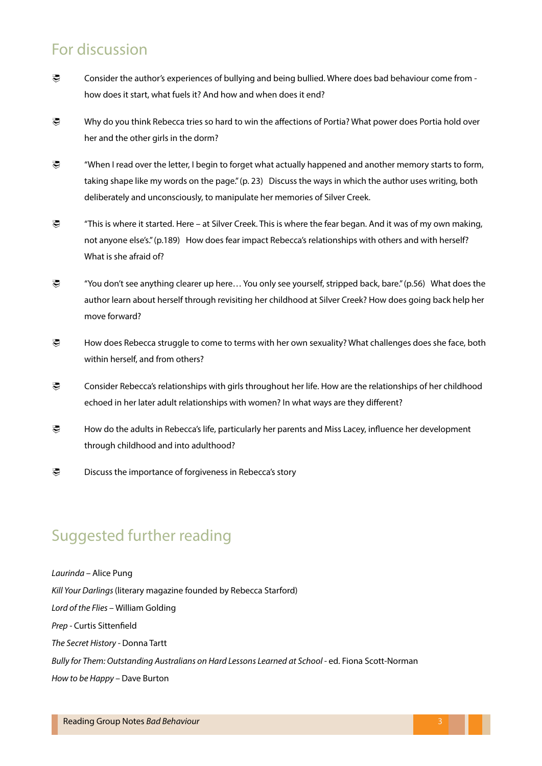#### For discussion

- Consider the author's experiences of bullying and being bullied. Where does bad behaviour come from how does it start, what fuels it? And how and when does it end?
- Why do you think Rebecca tries so hard to win the affections of Portia? What power does Portia hold over her and the other girls in the dorm?
- "When I read over the letter, I begin to forget what actually happened and another memory starts to form, taking shape like my words on the page." (p. 23) Discuss the ways in which the author uses writing, both deliberately and unconsciously, to manipulate her memories of Silver Creek.
- "This is where it started. Here at Silver Creek. This is where the fear began. And it was of my own making, not anyone else's." (p.189) How does fear impact Rebecca's relationships with others and with herself? What is she afraid of?
- **E** "You don't see anything clearer up here... You only see yourself, stripped back, bare." (p.56) What does the author learn about herself through revisiting her childhood at Silver Creek? How does going back help her move forward?
- How does Rebecca struggle to come to terms with her own sexuality? What challenges does she face, both within herself, and from others?
- E Consider Rebecca's relationships with girls throughout her life. How are the relationships of her childhood echoed in her later adult relationships with women? In what ways are they different?
- How do the adults in Rebecca's life, particularly her parents and Miss Lacey, influence her development through childhood and into adulthood?
- **Discuss the importance of forgiveness in Rebecca's story**

#### Suggested further reading

*Laurinda –* Alice Pung *Kill Your Darlings* (literary magazine founded by Rebecca Starford) *Lord of the Flies –* William Golding *Prep -* Curtis Sittenfield *The Secret History -* Donna Tartt Bully for Them: Outstanding Australians on Hard Lessons Learned at School - ed. Fiona Scott-Norman *How to be Happy –* Dave Burton